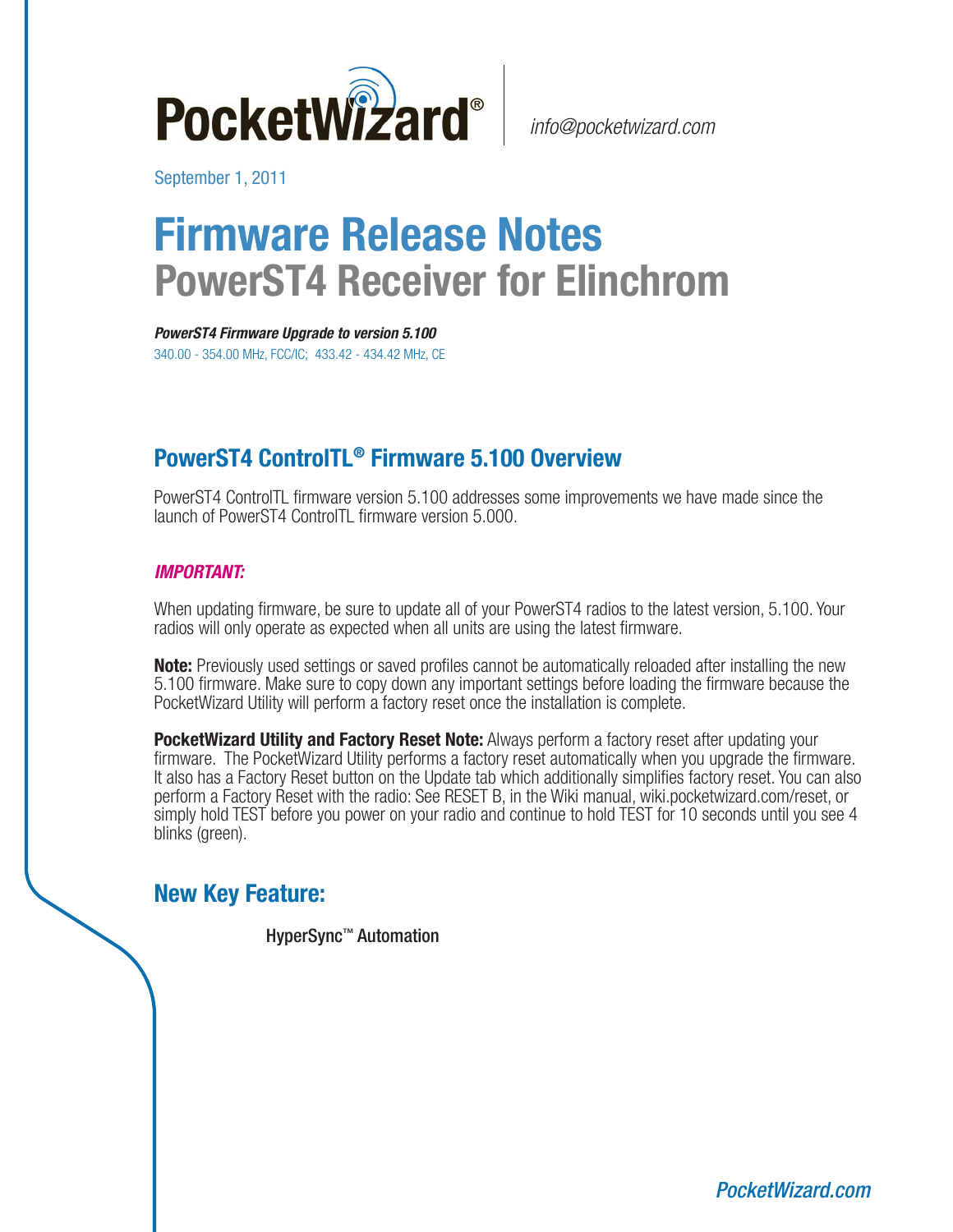

September 1, 2011

# **Firmware Release Notes PowerST4 Receiver for Elinchrom**

**PowerST4 Firmware Upgrade to version 5.100** 340.00 - 354.00 MHz, FCC/IC; 433.42 - 434.42 MHz, CE

## **PowerST4 ControlTL® Firmware 5.100 Overview**

PowerST4 ControlTL firmware version 5.100 addresses some improvements we have made since the launch of PowerST4 ControlTL firmware version 5.000.

#### **IMPORTANT:**

When updating firmware, be sure to update all of your PowerST4 radios to the latest version, 5.100. Your radios will only operate as expected when all units are using the latest firmware.

**Note:** Previously used settings or saved profiles cannot be automatically reloaded after installing the new 5.100 firmware. Make sure to copy down any important settings before loading the firmware because the PocketWizard Utility will perform a factory reset once the installation is complete.

**PocketWizard Utility and Factory Reset Note:** Always perform a factory reset after updating your firmware. The PocketWizard Utility performs a factory reset automatically when you upgrade the firmware. It also has a Factory Reset button on the Update tab which additionally simplifies factory reset. You can also perform a Factory Reset with the radio: See RESET B, in the Wiki manual, [wiki.pocketwizard.com/reset,](http://wiki.pocketwizard.com/index.php?title=Factory_Reset) or simply hold TEST before you power on your radio and continue to hold TEST for 10 seconds until you see 4 blinks (green).

### **New Key Feature:**

HyperSync™ Automation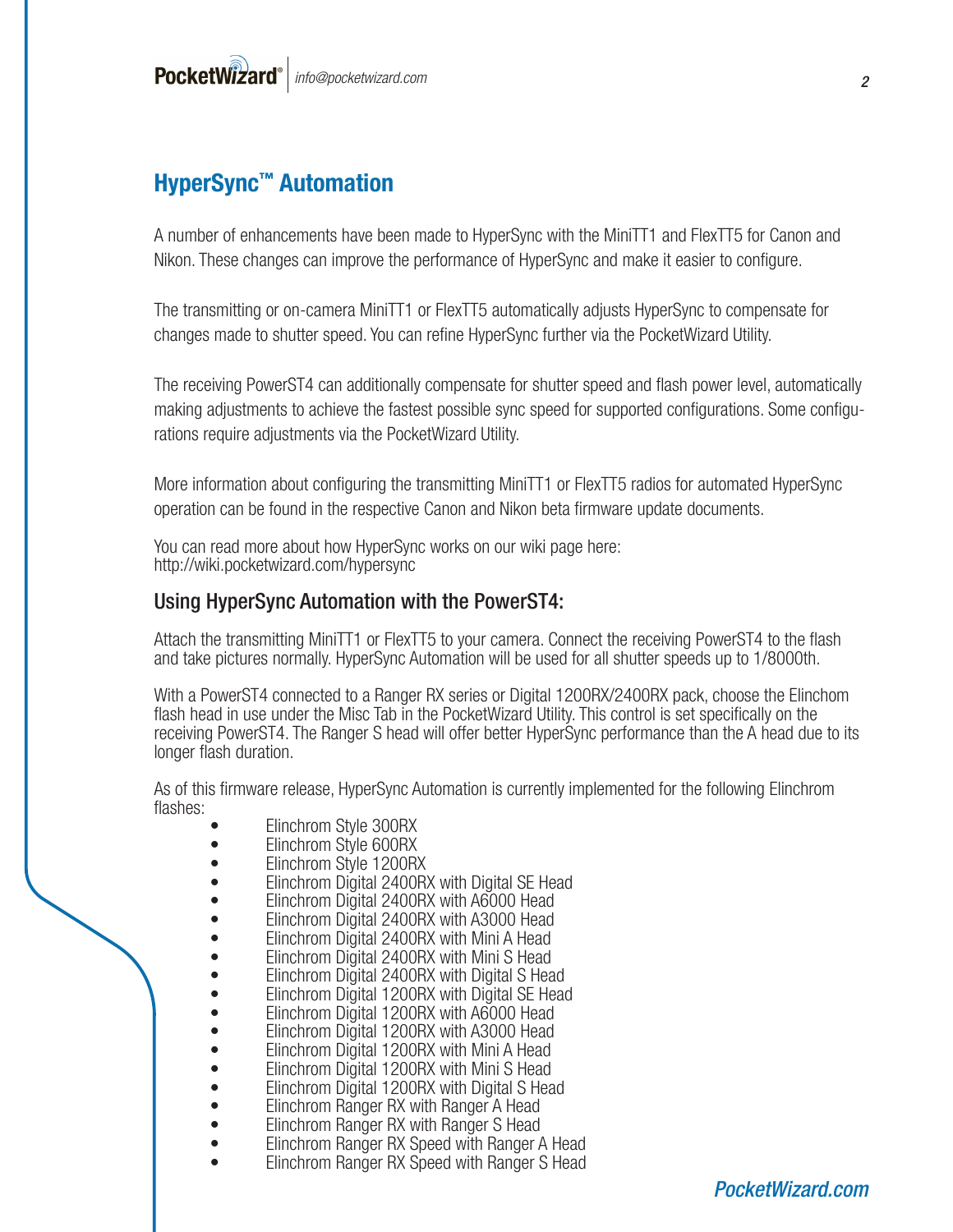## **HyperSync™ Automation**

A number of enhancements have been made to HyperSync with the MiniTT1 and FlexTT5 for Canon and Nikon. These changes can improve the performance of HyperSync and make it easier to configure.

The transmitting or on-camera MiniTT1 or FlexTT5 automatically adjusts HyperSync to compensate for changes made to shutter speed. You can refine HyperSync further via the PocketWizard Utility.

The receiving PowerST4 can additionally compensate for shutter speed and flash power level, automatically making adjustments to achieve the fastest possible sync speed for supported configurations. Some configurations require adjustments via the PocketWizard Utility.

More information about configuring the transmitting MiniTT1 or FlexTT5 radios for automated HyperSync operation can be found in the respective Canon and Nikon beta firmware update documents.

You can read more about how HyperSync works on our wiki page here: [http://wiki.pocketwizard.com/hypersync](http://wiki.pocketwizard.com/index.php?title=Understanding_HyperSync_and_High_Speed_Sync)

#### Using HyperSync Automation with the PowerST4:

Attach the transmitting MiniTT1 or FlexTT5 to your camera. Connect the receiving PowerST4 to the flash and take pictures normally. HyperSync Automation will be used for all shutter speeds up to 1/8000th.

With a PowerST4 connected to a Ranger RX series or Digital 1200RX/2400RX pack, choose the Elinchom flash head in use under the Misc Tab in the PocketWizard Utility. This control is set specifically on the receiving PowerST4. The Ranger S head will offer better HyperSync performance than the A head due to its longer flash duration.

As of this firmware release, HyperSync Automation is currently implemented for the following Elinchrom flashes: • Elinchrom Style 300RX • Elinchrom Style 600RX

- 
- 
- Elinchrom Style 1200RX
- Elinchrom Digital 2400RX with Digital SE Head
- Elinchrom Digital 2400RX with A6000 Head
- Elinchrom Digital 2400RX with A3000 Head
- Elinchrom Digital 2400RX with Mini A Head
	- Elinchrom Digital 2400RX with Mini S Head
- Elinchrom Digital 2400RX with Digital S Head
- Elinchrom Digital 1200RX with Digital SE Head<br>• Flinchrom Digital 1200RX with A6000 Head
- Elinchrom Digital 1200RX with A6000 Head
- Elinchrom Digital 1200RX with A3000 Head
- Elinchrom Digital 1200RX with Mini A Head
- Elinchrom Digital 1200RX with Mini S Head
- Elinchrom Digital 1200RX with Digital S Head<br>• Elinchrom Ranger RX with Ranger A Head<br>• Elinchrom Ranger RX Speed with Ranger A Head<br>• Elinchrom Ranger RX Speed with Ranger A Head
- 
- 
- 
- Elinchrom Ranger RX Speed with Ranger S Head